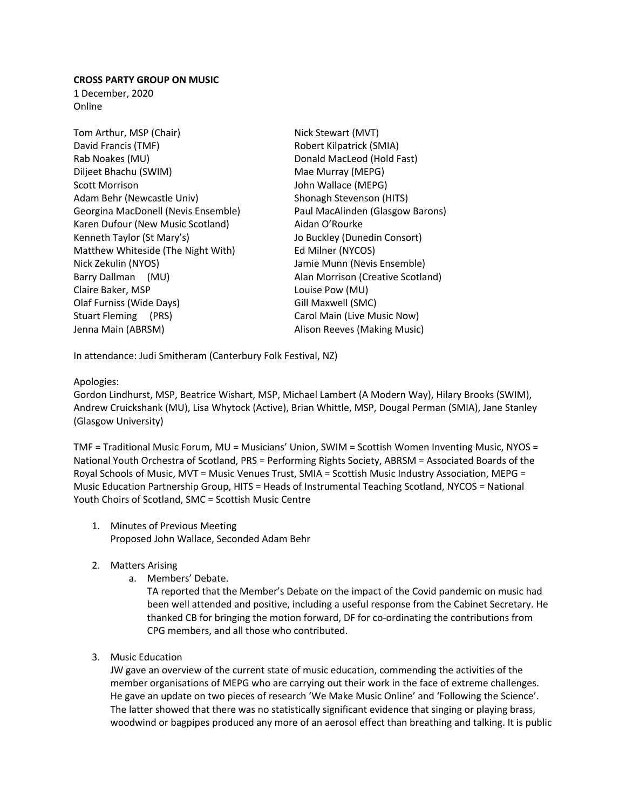## **CROSS PARTY GROUP ON MUSIC**

1 December, 2020 Online

Tom Arthur, MSP (Chair) Nick Stewart (MVT) David Francis (TMF) Robert Kilpatrick (SMIA) Rab Noakes (MU) Donald MacLeod (Hold Fast) Diljeet Bhachu (SWIM) Mae Murray (MEPG) Scott Morrison **Scott Morrison** John Wallace (MEPG) Adam Behr (Newcastle Univ) Shonagh Stevenson (HITS) Georgina MacDonell (Nevis Ensemble) Paul MacAlinden (Glasgow Barons) Karen Dufour (New Music Scotland) Aidan O'Rourke Kenneth Taylor (St Mary's) Jo Buckley (Dunedin Consort) Matthew Whiteside (The Night With) Ed Milner (NYCOS) Nick Zekulin (NYOS) Jamie Munn (Nevis Ensemble) Barry Dallman (MU) and the Calan Morrison (Creative Scotland) Claire Baker, MSP Claire Baker, MSP Olaf Furniss (Wide Days) Gill Maxwell (SMC) Stuart Fleming (PRS) Carol Main (Live Music Now) Jenna Main (ABRSM) Alison Reeves (Making Music)

In attendance: Judi Smitheram (Canterbury Folk Festival, NZ)

# Apologies:

Gordon Lindhurst, MSP, Beatrice Wishart, MSP, Michael Lambert (A Modern Way), Hilary Brooks (SWIM), Andrew Cruickshank (MU), Lisa Whytock (Active), Brian Whittle, MSP, Dougal Perman (SMIA), Jane Stanley (Glasgow University)

TMF = Traditional Music Forum, MU = Musicians' Union, SWIM = Scottish Women Inventing Music, NYOS = National Youth Orchestra of Scotland, PRS = Performing Rights Society, ABRSM = Associated Boards of the Royal Schools of Music, MVT = Music Venues Trust, SMIA = Scottish Music Industry Association, MEPG = Music Education Partnership Group, HITS = Heads of Instrumental Teaching Scotland, NYCOS = National Youth Choirs of Scotland, SMC = Scottish Music Centre

- 1. Minutes of Previous Meeting Proposed John Wallace, Seconded Adam Behr
- 2. Matters Arising
	- a. Members' Debate.

TA reported that the Member's Debate on the impact of the Covid pandemic on music had been well attended and positive, including a useful response from the Cabinet Secretary. He thanked CB for bringing the motion forward, DF for co-ordinating the contributions from CPG members, and all those who contributed.

3. Music Education

JW gave an overview of the current state of music education, commending the activities of the member organisations of MEPG who are carrying out their work in the face of extreme challenges. He gave an update on two pieces of research 'We Make Music Online' and 'Following the Science'. The latter showed that there was no statistically significant evidence that singing or playing brass, woodwind or bagpipes produced any more of an aerosol effect than breathing and talking. It is public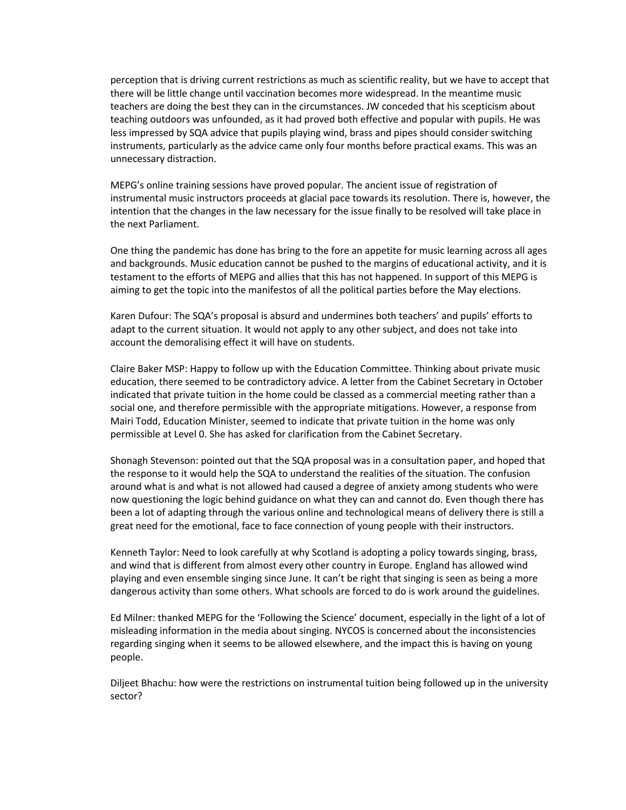perception that is driving current restrictions as much as scientific reality, but we have to accept that there will be little change until vaccination becomes more widespread. In the meantime music teachers are doing the best they can in the circumstances. JW conceded that his scepticism about teaching outdoors was unfounded, as it had proved both effective and popular with pupils. He was less impressed by SQA advice that pupils playing wind, brass and pipes should consider switching instruments, particularly as the advice came only four months before practical exams. This was an unnecessary distraction.

MEPG's online training sessions have proved popular. The ancient issue of registration of instrumental music instructors proceeds at glacial pace towards its resolution. There is, however, the intention that the changes in the law necessary for the issue finally to be resolved will take place in the next Parliament.

One thing the pandemic has done has bring to the fore an appetite for music learning across all ages and backgrounds. Music education cannot be pushed to the margins of educational activity, and it is testament to the efforts of MEPG and allies that this has not happened. In support of this MEPG is aiming to get the topic into the manifestos of all the political parties before the May elections.

Karen Dufour: The SQA's proposal is absurd and undermines both teachers' and pupils' efforts to adapt to the current situation. It would not apply to any other subject, and does not take into account the demoralising effect it will have on students.

Claire Baker MSP: Happy to follow up with the Education Committee. Thinking about private music education, there seemed to be contradictory advice. A letter from the Cabinet Secretary in October indicated that private tuition in the home could be classed as a commercial meeting rather than a social one, and therefore permissible with the appropriate mitigations. However, a response from Mairi Todd, Education Minister, seemed to indicate that private tuition in the home was only permissible at Level 0. She has asked for clarification from the Cabinet Secretary.

Shonagh Stevenson: pointed out that the SQA proposal was in a consultation paper, and hoped that the response to it would help the SQA to understand the realities of the situation. The confusion around what is and what is not allowed had caused a degree of anxiety among students who were now questioning the logic behind guidance on what they can and cannot do. Even though there has been a lot of adapting through the various online and technological means of delivery there is still a great need for the emotional, face to face connection of young people with their instructors.

Kenneth Taylor: Need to look carefully at why Scotland is adopting a policy towards singing, brass, and wind that is different from almost every other country in Europe. England has allowed wind playing and even ensemble singing since June. It can't be right that singing is seen as being a more dangerous activity than some others. What schools are forced to do is work around the guidelines.

Ed Milner: thanked MEPG for the 'Following the Science' document, especially in the light of a lot of misleading information in the media about singing. NYCOS is concerned about the inconsistencies regarding singing when it seems to be allowed elsewhere, and the impact this is having on young people.

Diljeet Bhachu: how were the restrictions on instrumental tuition being followed up in the university sector?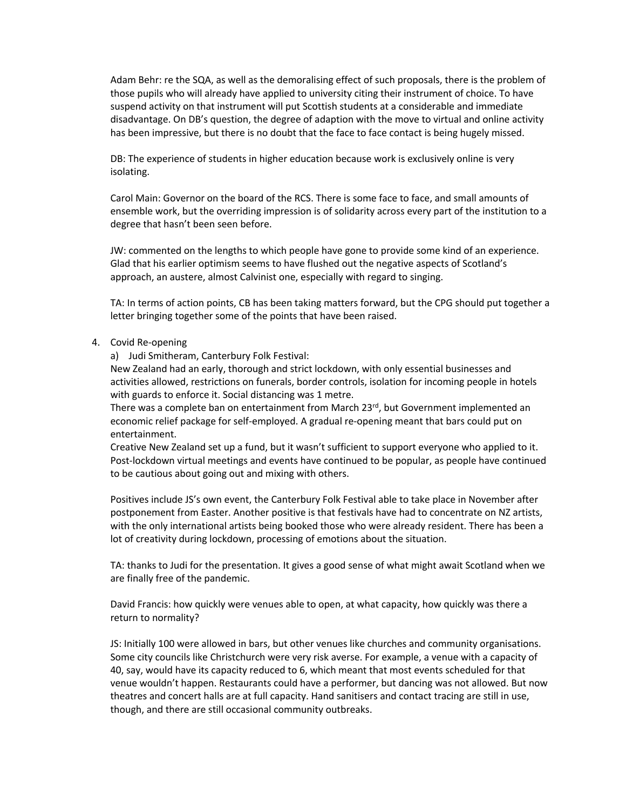Adam Behr: re the SQA, as well as the demoralising effect of such proposals, there is the problem of those pupils who will already have applied to university citing their instrument of choice. To have suspend activity on that instrument will put Scottish students at a considerable and immediate disadvantage. On DB's question, the degree of adaption with the move to virtual and online activity has been impressive, but there is no doubt that the face to face contact is being hugely missed.

DB: The experience of students in higher education because work is exclusively online is very isolating.

Carol Main: Governor on the board of the RCS. There is some face to face, and small amounts of ensemble work, but the overriding impression is of solidarity across every part of the institution to a degree that hasn't been seen before.

JW: commented on the lengths to which people have gone to provide some kind of an experience. Glad that his earlier optimism seems to have flushed out the negative aspects of Scotland's approach, an austere, almost Calvinist one, especially with regard to singing.

TA: In terms of action points, CB has been taking matters forward, but the CPG should put together a letter bringing together some of the points that have been raised.

### 4. Covid Re-opening

a) Judi Smitheram, Canterbury Folk Festival:

New Zealand had an early, thorough and strict lockdown, with only essential businesses and activities allowed, restrictions on funerals, border controls, isolation for incoming people in hotels with guards to enforce it. Social distancing was 1 metre.

There was a complete ban on entertainment from March 23 $^{rd}$ , but Government implemented an economic relief package for self-employed. A gradual re-opening meant that bars could put on entertainment.

Creative New Zealand set up a fund, but it wasn't sufficient to support everyone who applied to it. Post-lockdown virtual meetings and events have continued to be popular, as people have continued to be cautious about going out and mixing with others.

Positives include JS's own event, the Canterbury Folk Festival able to take place in November after postponement from Easter. Another positive is that festivals have had to concentrate on NZ artists, with the only international artists being booked those who were already resident. There has been a lot of creativity during lockdown, processing of emotions about the situation.

TA: thanks to Judi for the presentation. It gives a good sense of what might await Scotland when we are finally free of the pandemic.

David Francis: how quickly were venues able to open, at what capacity, how quickly was there a return to normality?

JS: Initially 100 were allowed in bars, but other venues like churches and community organisations. Some city councils like Christchurch were very risk averse. For example, a venue with a capacity of 40, say, would have its capacity reduced to 6, which meant that most events scheduled for that venue wouldn't happen. Restaurants could have a performer, but dancing was not allowed. But now theatres and concert halls are at full capacity. Hand sanitisers and contact tracing are still in use, though, and there are still occasional community outbreaks.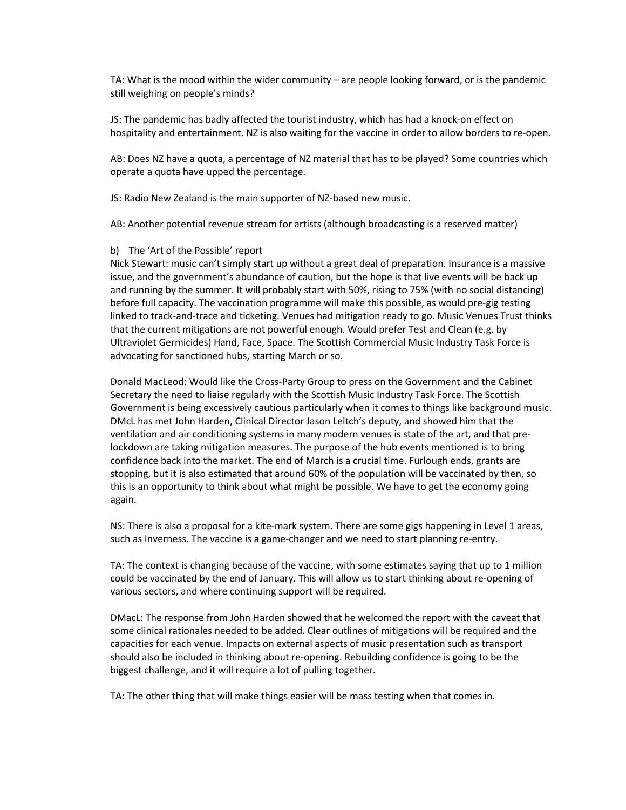TA: What is the mood within the wider community – are people looking forward, or is the pandemic still weighing on people's minds?

JS: The pandemic has badly affected the tourist industry, which has had a knock-on effect on hospitality and entertainment. NZ is also waiting for the vaccine in order to allow borders to re-open.

AB: Does NZ have a quota, a percentage of NZ material that has to be played? Some countries which operate a quota have upped the percentage.

JS: Radio New Zealand is the main supporter of NZ-based new music.

AB: Another potential revenue stream for artists (although broadcasting is a reserved matter)

### b) The 'Art of the Possible' report

Nick Stewart: music can't simply start up without a great deal of preparation. Insurance is a massive issue, and the government's abundance of caution, but the hope is that live events will be back up and running by the summer. It will probably start with 50%, rising to 75% (with no social distancing) before full capacity. The vaccination programme will make this possible, as would pre-gig testing linked to track-and-trace and ticketing. Venues had mitigation ready to go. Music Venues Trust thinks that the current mitigations are not powerful enough. Would prefer Test and Clean (e.g. by Ultraviolet Germicides) Hand, Face, Space. The Scottish Commercial Music Industry Task Force is advocating for sanctioned hubs, starting March or so.

Donald MacLeod: Would like the Cross-Party Group to press on the Government and the Cabinet Secretary the need to liaise regularly with the Scottish Music Industry Task Force. The Scottish Government is being excessively cautious particularly when it comes to things like background music. DMcL has met John Harden, Clinical Director Jason Leitch's deputy, and showed him that the ventilation and air conditioning systems in many modern venues is state of the art, and that prelockdown are taking mitigation measures. The purpose of the hub events mentioned is to bring confidence back into the market. The end of March is a crucial time. Furlough ends, grants are stopping, but it is also estimated that around 60% of the population will be vaccinated by then, so this is an opportunity to think about what might be possible. We have to get the economy going again.

NS: There is also a proposal for a kite-mark system. There are some gigs happening in Level 1 areas, such as Inverness. The vaccine is a game-changer and we need to start planning re-entry.

TA: The context is changing because of the vaccine, with some estimates saying that up to 1 million could be vaccinated by the end of January. This will allow us to start thinking about re-opening of various sectors, and where continuing support will be required.

DMacL: The response from John Harden showed that he welcomed the report with the caveat that some clinical rationales needed to be added. Clear outlines of mitigations will be required and the capacities for each venue. Impacts on external aspects of music presentation such as transport should also be included in thinking about re-opening. Rebuilding confidence is going to be the biggest challenge, and it will require a lot of pulling together.

TA: The other thing that will make things easier will be mass testing when that comes in.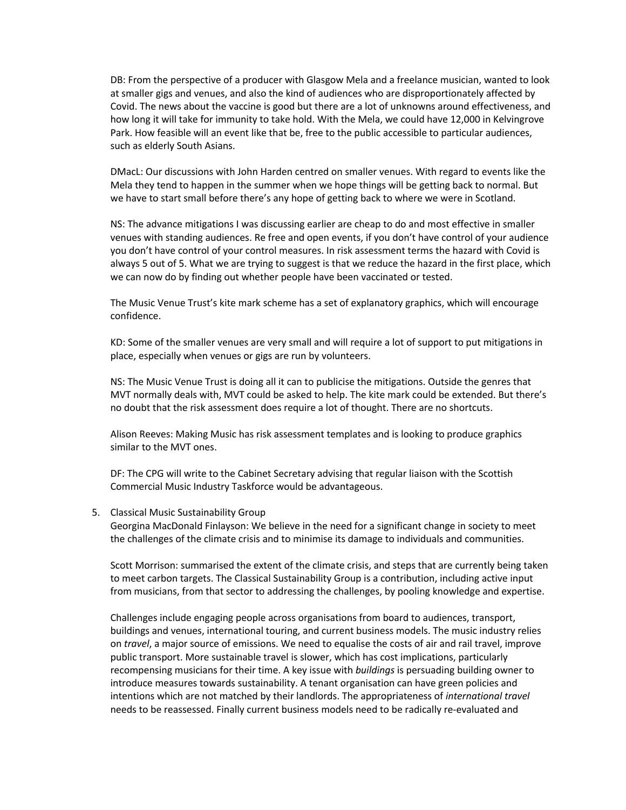DB: From the perspective of a producer with Glasgow Mela and a freelance musician, wanted to look at smaller gigs and venues, and also the kind of audiences who are disproportionately affected by Covid. The news about the vaccine is good but there are a lot of unknowns around effectiveness, and how long it will take for immunity to take hold. With the Mela, we could have 12,000 in Kelvingrove Park. How feasible will an event like that be, free to the public accessible to particular audiences, such as elderly South Asians.

DMacL: Our discussions with John Harden centred on smaller venues. With regard to events like the Mela they tend to happen in the summer when we hope things will be getting back to normal. But we have to start small before there's any hope of getting back to where we were in Scotland.

NS: The advance mitigations I was discussing earlier are cheap to do and most effective in smaller venues with standing audiences. Re free and open events, if you don't have control of your audience you don't have control of your control measures. In risk assessment terms the hazard with Covid is always 5 out of 5. What we are trying to suggest is that we reduce the hazard in the first place, which we can now do by finding out whether people have been vaccinated or tested.

The Music Venue Trust's kite mark scheme has a set of explanatory graphics, which will encourage confidence.

KD: Some of the smaller venues are very small and will require a lot of support to put mitigations in place, especially when venues or gigs are run by volunteers.

NS: The Music Venue Trust is doing all it can to publicise the mitigations. Outside the genres that MVT normally deals with, MVT could be asked to help. The kite mark could be extended. But there's no doubt that the risk assessment does require a lot of thought. There are no shortcuts.

Alison Reeves: Making Music has risk assessment templates and is looking to produce graphics similar to the MVT ones.

DF: The CPG will write to the Cabinet Secretary advising that regular liaison with the Scottish Commercial Music Industry Taskforce would be advantageous.

#### 5. Classical Music Sustainability Group

Georgina MacDonald Finlayson: We believe in the need for a significant change in society to meet the challenges of the climate crisis and to minimise its damage to individuals and communities.

Scott Morrison: summarised the extent of the climate crisis, and steps that are currently being taken to meet carbon targets. The Classical Sustainability Group is a contribution, including active input from musicians, from that sector to addressing the challenges, by pooling knowledge and expertise.

Challenges include engaging people across organisations from board to audiences, transport, buildings and venues, international touring, and current business models. The music industry relies on *travel*, a major source of emissions. We need to equalise the costs of air and rail travel, improve public transport. More sustainable travel is slower, which has cost implications, particularly recompensing musicians for their time. A key issue with *buildings* is persuading building owner to introduce measures towards sustainability. A tenant organisation can have green policies and intentions which are not matched by their landlords. The appropriateness of *international travel* needs to be reassessed. Finally current business models need to be radically re-evaluated and